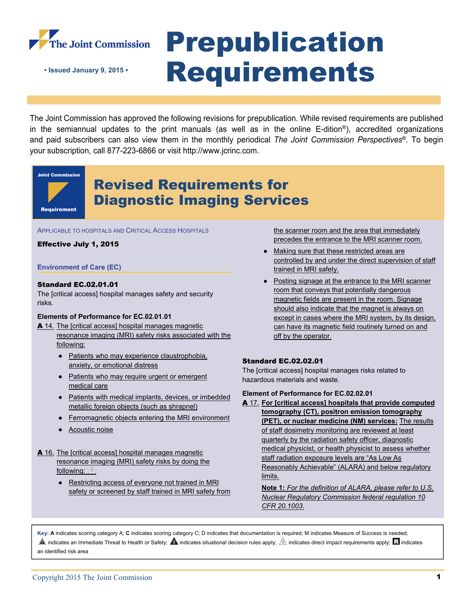

# Prepublication **• Issued January 9, 2015 • Requirements**

The Joint Commission has approved the following revisions for prepublication. While revised requirements are published in the semiannual updates to the print manuals (as well as in the online E-dition®), accredited organizations and paid subscribers can also view them in the monthly periodical *The Joint Commission Perspectives*®. To begin your subscription, call 877-223-6866 or visit http://www.jcrinc.com.

## **Joint Commission Requirement**

### Revised Requirements for Diagnostic Imaging Services

APPLICABLE TO HOSPITALS AND CRITICAL ACCESS HOSPITALS

#### Effective July 1, 2015

#### **Environment of Care (EC)**

#### Standard EC.02.01.01

The [critical access] hospital manages safety and security risks.

#### **Elements of Performance for EC.02.01.01**

- A 14. The [critical access] hospital manages magnetic resonance imaging (MRI) safety risks associated with the following:
	- Patients who may experience claustrophobia, anxiety, or emotional distress
	- Patients who may require urgent or emergent medical care
	- Patients with medical implants, devices, or imbedded metallic foreign objects (such as shrapnel)
	- Ferromagnetic objects entering the MRI environment
	- Acoustic noise
- A 16. The [critical access] hospital manages magnetic resonance imaging (MRI) safety risks by doing the following:  $\sqrt{3}$ 
	- Restricting access of everyone not trained in MRI safety or screened by staff trained in MRI safety from

the scanner room and the area that immediately precedes the entrance to the MRI scanner room.

- Making sure that these restricted areas are controlled by and under the direct supervision of staff trained in MRI safety.
- Posting signage at the entrance to the MRI scanner room that conveys that potentially dangerous magnetic fields are present in the room. Signage should also indicate that the magnet is always on except in cases where the MRI system, by its design, can have its magnetic field routinely turned on and off by the operator.

#### Standard EC.02.02.01

The [critical access] hospital manages risks related to hazardous materials and waste.

#### **Element of Performance for EC.02.02.01**

A 17. **For [critical access] hospitals that provide computed tomography (CT), positron emission tomography (PET), or nuclear medicine (NM) services:** The results of staff dosimetry monitoring are reviewed at least quarterly by the radiation safety officer, diagnostic medical physicist, or health physicist to assess whether staff radiation exposure levels are "As Low As Reasonably Achievable" (ALARA) and below regulatory limits.

**Note 1:** *For the definition of ALARA, please refer to U.S. Nuclear Regulatory Commission federal regulation 10 CFR 20.1003.*

**Key: A** indicates scoring category A; **C** indicates scoring category C; D indicates that documentation is required; M indicates Measure of Success is needed;  $\spadesuit$  indicates an Immediate Threat to Health or Safety;  $\spadesuit$  indicates situational decision rules apply;  $\hat{\mathbb{A}}$  indicates direct impact requirements apply;  $\rm R$  indicates an identified risk area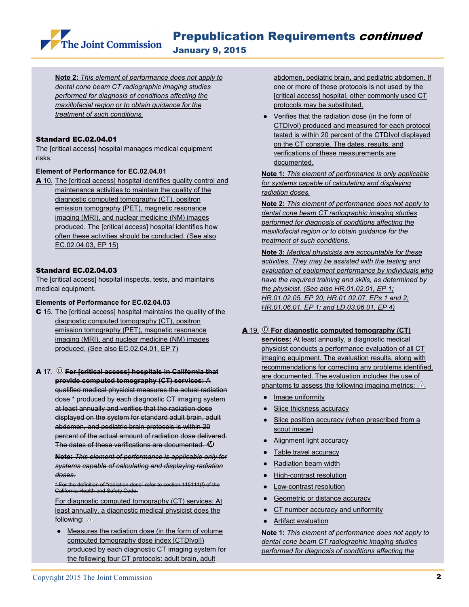The Joint Commission

January 9, 2015

**Note 2:** *This element of performance does not apply to dental cone beam CT radiographic imaging studies performed for diagnosis of conditions affecting the maxillofacial region or to obtain guidance for the treatment of such conditions.* 

#### Standard EC.02.04.01

The [critical access] hospital manages medical equipment risks.

#### **Element of Performance for EC.02.04.01**

A 10. The [critical access] hospital identifies quality control and maintenance activities to maintain the quality of the diagnostic computed tomography (CT), positron emission tomography (PET), magnetic resonance imaging (MRI), and nuclear medicine (NM) images produced. The [critical access] hospital identifies how often these activities should be conducted. (See also EC.02.04.03, EP 15)

#### Standard EC.02.04.03

The [critical access] hospital inspects, tests, and maintains medical equipment.

#### **Elements of Performance for EC.02.04.03**

- C 15. The [critical access] hospital maintains the quality of the diagnostic computed tomography (CT), positron emission tomography (PET), magnetic resonance imaging (MRI), and nuclear medicine (NM) images produced. (See also EC.02.04.01, EP 7)
- A 17. <sup>©</sup> For [critical access] hospitals in California that **provide computed tomography (CT) services:** A

qualified medical physicist measures the actual radiation dose \* produced by each diagnostic CT imaging system at least annually and verifies that the radiation dose displayed on the system for standard adult brain, adult abdomen, and pediatric brain protocols is within 20 percent of the actual amount of radiation dose delivered. The dates of these verifications are documented.  $\mathbf{\mathbb{D}}$ 

**Note:** *This element of performance is applicable only for systems capable of calculating and displaying radiation doses.* 

\* For the definition of "radiation dose" refer to section 115111(f) of the California Health and Safety Code.

For diagnostic computed tomography (CT) services: At least annually, a diagnostic medical physicist does the following:  $\sqrt{3}$ 

• Measures the radiation dose (in the form of volume computed tomography dose index [CTDIvol]) produced by each diagnostic CT imaging system for the following four CT protocols: adult brain, adult

abdomen, pediatric brain, and pediatric abdomen. If one or more of these protocols is not used by the [critical access] hospital, other commonly used CT protocols may be substituted.

● Verifies that the radiation dose (in the form of CTDIvol) produced and measured for each protocol tested is within 20 percent of the CTDIvol displayed on the CT console. The dates, results, and verifications of these measurements are documented.

**Note 1:** *This element of performance is only applicable for systems capable of calculating and displaying radiation doses.* 

**Note 2:** *This element of performance does not apply to dental cone beam CT radiographic imaging studies performed for diagnosis of conditions affecting the maxillofacial region or to obtain guidance for the treatment of such conditions.* 

**Note 3:** *Medical physicists are accountable for these activities. They may be assisted with the testing and evaluation of equipment performance by individuals who have the required training and skills, as determined by the physicist. (See also HR.01.02.01, EP 1; HR.01.02.05, EP 20; HR.01.02.07, EPs 1 and 2; HR.01.06.01, EP 1; and LD.03.06.01, EP 4)* 

#### A 19. **For diagnostic computed tomography (CT)**

**services:** At least annually, a diagnostic medical physicist conducts a performance evaluation of all CT imaging equipment. The evaluation results, along with recommendations for correcting any problems identified, are documented. The evaluation includes the use of phantoms to assess the following imaging metrics:  $\sqrt{3}$ 

- Image uniformity
- Slice thickness accuracy
- Slice position accuracy (when prescribed from a scout image)
- Alignment light accuracy
- Table travel accuracy
- Radiation beam width
- High-contrast resolution
- Low-contrast resolution
- Geometric or distance accuracy
- CT number accuracy and uniformity
- Artifact evaluation

**Note 1:** *This element of performance does not apply to dental cone beam CT radiographic imaging studies performed for diagnosis of conditions affecting the*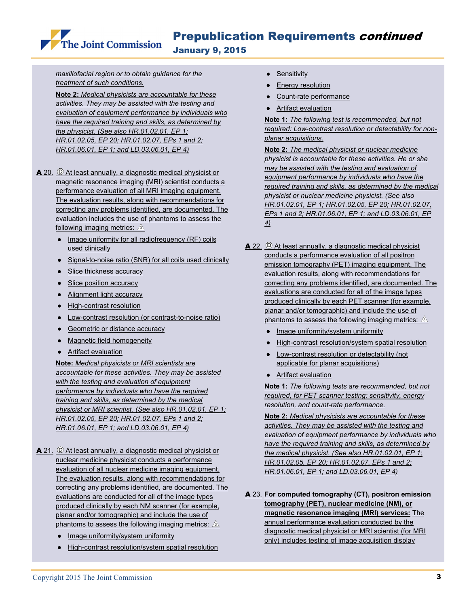Prepublication Requirements continued

January 9, 2015

*maxillofacial region or to obtain guidance for the treatment of such conditions.* 

The Joint Commission

**Note 2:** *Medical physicists are accountable for these activities. They may be assisted with the testing and evaluation of equipment performance by individuals who have the required training and skills, as determined by the physicist. (See also HR.01.02.01, EP 1; HR.01.02.05, EP 20; HR.01.02.07, EPs 1 and 2; HR.01.06.01, EP 1; and LD.03.06.01, EP 4)* 

- $\blacktriangle$  20.  $\heartsuit$  At least annually, a diagnostic medical physicist or magnetic resonance imaging (MRI) scientist conducts a performance evaluation of all MRI imaging equipment. The evaluation results, along with recommendations for correcting any problems identified, are documented. The evaluation includes the use of phantoms to assess the following imaging metrics:  $\hat{\mathbb{A}}$ 
	- Image uniformity for all radiofrequency (RF) coils used clinically
	- Signal-to-noise ratio (SNR) for all coils used clinically
	- Slice thickness accuracy
	- Slice position accuracy
	- Alignment light accuracy
	- High-contrast resolution
	- Low-contrast resolution (or contrast-to-noise ratio)
	- Geometric or distance accuracy
	- Magnetic field homogeneity
	- Artifact evaluation

**Note:** *Medical physicists or MRI scientists are accountable for these activities. They may be assisted with the testing and evaluation of equipment performance by individuals who have the required training and skills, as determined by the medical physicist or MRI scientist. (See also HR.01.02.01, EP 1; HR.01.02.05, EP 20; HR.01.02.07, EPs 1 and 2; HR.01.06.01, EP 1; and LD.03.06.01, EP 4)*

- correcting any problems identified, are documented. The  $\triangle$  21.  $\odot$  At least annually, a diagnostic medical physicist or nuclear medicine physicist conducts a performance evaluation of all nuclear medicine imaging equipment. The evaluation results, along with recommendations for evaluations are conducted for all of the image types produced clinically by each NM scanner (for example, planar and/or tomographic) and include the use of phantoms to assess the following imaging metrics:  $\sqrt{3}$ 
	- Image uniformity/system uniformity
	- High-contrast resolution/system spatial resolution
- Sensitivity
- **Energy resolution**
- Count-rate performance
- Artifact evaluation

**Note 1:** *The following test is recommended, but not required: Low-contrast resolution or detectability for nonplanar acquisitions.*

**Note 2:** *The medical physicist or nuclear medicine physicist is accountable for these activities. He or she may be assisted with the testing and evaluation of equipment performance by individuals who have the required training and skills, as determined by the medical physicist or nuclear medicine physicist. (See also HR.01.02.01, EP 1; HR.01.02.05, EP 20; HR.01.02.07, EPs 1 and 2; HR.01.06.01, EP 1; and LD.03.06.01, EP 4)*

- $\triangle$  22.  $\textcircled{D}$  At least annually, a diagnostic medical physicist conducts a performance evaluation of all positron emission tomography (PET) imaging equipment. The evaluation results, along with recommendations for correcting any problems identified, are documented. The evaluations are conducted for all of the image types produced clinically by each PET scanner (for example, planar and/or tomographic) and include the use of phantoms to assess the following imaging metrics:  $\Delta$ 
	- Image uniformity/system uniformity
	- High-contrast resolution/system spatial resolution
	- Low-contrast resolution or detectability (not applicable for planar acquisitions)
	- Artifact evaluation

**Note 1:** *The following tests are recommended, but not required, for PET scanner testing: sensitivity, energy resolution, and count-rate performance.* 

**Note 2:** *Medical physicists are accountable for these activities. They may be assisted with the testing and evaluation of equipment performance by individuals who have the required training and skills, as determined by the medical physicist. (See also HR.01.02.01, EP 1; HR.01.02.05, EP 20; HR.01.02.07, EPs 1 and 2; HR.01.06.01, EP 1; and LD.03.06.01, EP 4)* 

A 23. **For computed tomography (CT), positron emission tomography (PET), nuclear medicine (NM), or magnetic resonance imaging (MRI) services:** The annual performance evaluation conducted by the diagnostic medical physicist or MRI scientist (for MRI only) includes testing of image acquisition display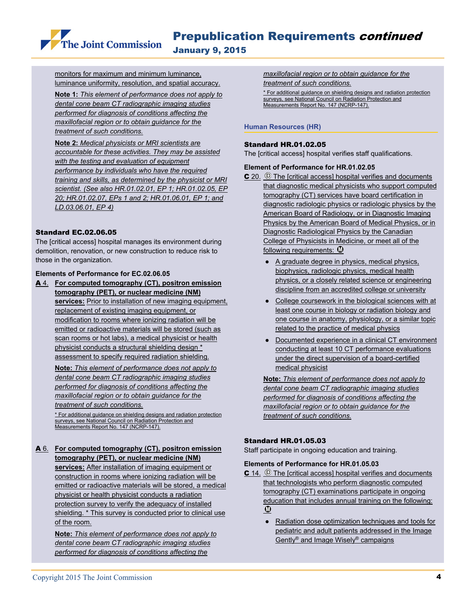The Joint Commission

January 9, 2015

monitors for maximum and minimum luminance, luminance uniformity, resolution, and spatial accuracy.

**Note 1:** *This element of performance does not apply to dental cone beam CT radiographic imaging studies performed for diagnosis of conditions affecting the maxillofacial region or to obtain guidance for the treatment of such conditions.*

**Note 2:** *Medical physicists or MRI scientists are accountable for these activities. They may be assisted with the testing and evaluation of equipment performance by individuals who have the required training and skills, as determined by the physicist or MRI scientist. (See also HR.01.02.01, EP 1; HR.01.02.05, EP 20; HR.01.02.07, EPs 1 and 2; HR.01.06.01, EP 1; and LD.03.06.01, EP 4)*

#### Standard EC.02.06.05

The [critical access] hospital manages its environment during demolition, renovation, or new construction to reduce risk to those in the organization.

#### **Elements of Performance for EC.02.06.05**

A 4. **For computed tomography (CT), positron emission tomography (PET), or nuclear medicine (NM) services:** Prior to installation of new imaging equipment, replacement of existing imaging equipment, or modification to rooms where ionizing radiation will be emitted or radioactive materials will be stored (such as scan rooms or hot labs), a medical physicist or health physicist conducts a structural shielding design \* assessment to specify required radiation shielding.

**Note:** *This element of performance does not apply to dental cone beam CT radiographic imaging studies performed for diagnosis of conditions affecting the maxillofacial region or to obtain guidance for the treatment of such conditions.* 

\* For additional guidance on shielding designs and radiation protection surveys, see National Council on Radiation Protection and Measurements Report No. 147 (NCRP-147).

#### A 6. **For computed tomography (CT), positron emission tomography (PET), or nuclear medicine (NM)**

shielding. \* This survey is conducted prior to clinical use **services:** After installation of imaging equipment or construction in rooms where ionizing radiation will be emitted or radioactive materials will be stored, a medical physicist or health physicist conducts a radiation protection survey to verify the adequacy of installed of the room.

> **Note:** *This element of performance does not apply to dental cone beam CT radiographic imaging studies performed for diagnosis of conditions affecting the*

*maxillofacial region or to obtain guidance for the treatment of such conditions.*

\* For additional guidance on shielding designs and radiation protection surveys, see National Council on Radiation Protection and Measurements Report No. 147 (NCRP-147).

#### **Human Resources (HR)**

#### Standard HR.01.02.05

The [critical access] hospital verifies staff qualifications.

#### **Element of Performance for HR.01.02.05**

- C 20. © The [critical access] hospital verifies and documents that diagnostic medical physicists who support computed tomography (CT) services have board certification in diagnostic radiologic physics or radiologic physics by the American Board of Radiology, or in Diagnostic Imaging Physics by the American Board of Medical Physics, or in Diagnostic Radiological Physics by the Canadian College of Physicists in Medicine, or meet all of the following requirements:  $\Phi$ 
	- A graduate degree in physics, medical physics, biophysics, radiologic physics, medical health physics, or a closely related science or engineering discipline from an accredited college or university
	- College coursework in the biological sciences with at least one course in biology or radiation biology and one course in anatomy, physiology, or a similar topic related to the practice of medical physics
	- Documented experience in a clinical CT environment conducting at least 10 CT performance evaluations under the direct supervision of a board-certified medical physicist

**Note:** *This element of performance does not apply to dental cone beam CT radiographic imaging studies performed for diagnosis of conditions affecting the maxillofacial region or to obtain guidance for the treatment of such conditions.* 

#### Standard HR.01.05.03

Staff participate in ongoing education and training.

#### **Elements of Performance for HR.01.05.03**

- $C$  14.  $\odot$  The [critical access] hospital verifies and documents that technologists who perform diagnostic computed tomography (CT) examinations participate in ongoing education that includes annual training on the following:  $\boldsymbol{\Phi}$ 
	- Radiation dose optimization techniques and tools for pediatric and adult patients addressed in the Image Gently® and Image Wisely® campaigns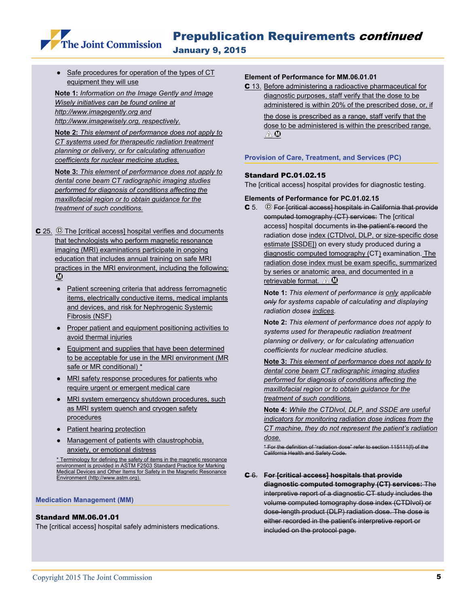Prepublication Requirements continued

January 9, 2015

Safe procedures for operation of the types of CT equipment they will use

The Joint Commission

 *Wisely initiatives can be found online at*  **Note 1:** *Information on the Image Gently and Image http://www.imagegently.org and http://www.imagewisely.org, respectively.*

> **Note 2:** *This element of performance does not apply to CT systems used for therapeutic radiation treatment planning or delivery, or for calculating attenuation coefficients for nuclear medicine studies.*

> **Note 3:** *This element of performance does not apply to dental cone beam CT radiographic imaging studies performed for diagnosis of conditions affecting the maxillofacial region or to obtain guidance for the treatment of such conditions.*

 $C$  25.  $\circledcirc$  The [critical access] hospital verifies and documents that technologists who perform magnetic resonance imaging (MRI) examinations participate in ongoing education that includes annual training on safe MRI practices in the MRI environment, including the following:  $\boldsymbol{\Phi}$ 

- Patient screening criteria that address ferromagnetic items, electrically conductive items, medical implants and devices, and risk for Nephrogenic Systemic Fibrosis (NSF)
- Proper patient and equipment positioning activities to avoid thermal injuries
- Equipment and supplies that have been determined to be acceptable for use in the MRI environment (MR safe or MR conditional) \*
- MRI safety response procedures for patients who require urgent or emergent medical care
- MRI system emergency shutdown procedures, such as MRI system quench and cryogen safety procedures
- Patient hearing protection
- Management of patients with claustrophobia, anxiety, or emotional distress

\* Terminology for defining the safety of items in the magnetic resonance environment is provided in ASTM F2503 Standard Practice for Marking Medical Devices and Other Items for Safety in the Magnetic Resonance Environment (http://www.astm.org).

#### **Medication Management (MM)**

#### Standard MM.06.01.01

The [critical access] hospital safely administers medications.

#### **Element of Performance for MM.06.01.01**

C 13. Before administering a radioactive pharmaceutical for diagnostic purposes, staff verify that the dose to be administered is within 20% of the prescribed dose, or, if

> the dose is prescribed as a range, staff verify that the dose to be administered is within the prescribed range.  $\mathbb{A}^{\otimes n}$

#### **Provision of Care, Treatment, and Services (PC)**

#### Standard PC.01.02.15

The [critical access] hospital provides for diagnostic testing.

#### **Elements of Performance for PC.01.02.15**

 $\texttt{C}$  5.  $\textcircled{\tiny{\textcircled{\tiny{F}}}}$  For [critical access] hospitals in California that provide computed tomography (CT) services: The [critical access] hospital documents in the patient's record the radiation dose index (CTDIvol, DLP, or size-specific dose estimate [SSDE]) on every study produced during a diagnostic computed tomography (CT) examination. The radiation dose index must be exam specific, summarized by series or anatomic area, and documented in a retrievable format.  $\mathbb{A} \mathbf{0}$ 

**Note 1:** *This element of performance is only applicable only for systems capable of calculating and displaying radiation doses indices.*

**Note 2:** *This element of performance does not apply to systems used for therapeutic radiation treatment planning or delivery, or for calculating attenuation coefficients for nuclear medicine studies.* 

**Note 3:** *This element of performance does not apply to dental cone beam CT radiographic imaging studies performed for diagnosis of conditions affecting the maxillofacial region or to obtain guidance for the treatment of such conditions.*

**Note 4:** *While the CTDIvol, DLP, and SSDE are useful indicators for monitoring radiation dose indices from the CT machine, they do not represent the patient's radiation dose.* 

\* For the definition of "radiation dose" refer to section 115111(f) of the California Health and Safety Code.

#### C 6. **For [critical access] hospitals that provide**

**diagnostic computed tomography (CT) services:** The interpretive report of a diagnostic CT study includes the volume computed tomography dose index (CTDIvol) or dose-length product (DLP) radiation dose. The dose is either recorded in the patient's interpretive report or included on the protocol page.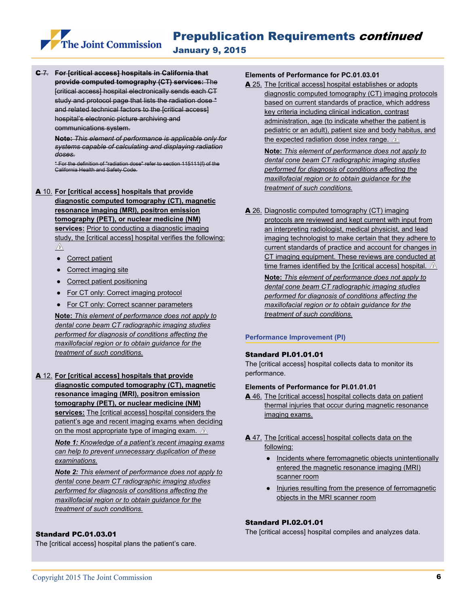C 7. **For [critical access] hospitals in California that provide computed tomography (CT) services:** The [critical access] hospital electronically sends each CT study and protocol page that lists the radiation dose \* and related technical factors to the [critical access] hospital's electronic picture archiving and communications system.

The Joint Commission

**Note:** *This element of performance is applicable only for systems capable of calculating and displaying radiation doses.*

\* For the definition of "radiation dose" refer to section 115111(f) of the California Health and Safety Code.

A 10. **For [critical access] hospitals that provide diagnostic computed tomography (CT), magnetic resonance imaging (MRI), positron emission tomography (PET), or nuclear medicine (NM) services:** Prior to conducting a diagnostic imaging study, the [critical access] hospital verifies the following:  $\sqrt{3}$ 

- Correct patient
- Correct imaging site
- Correct patient positioning
- For CT only: Correct imaging protocol
- For CT only: Correct scanner parameters

**Note:** *This element of performance does not apply to dental cone beam CT radiographic imaging studies performed for diagnosis of conditions affecting the maxillofacial region or to obtain guidance for the treatment of such conditions.* 

#### A 12. **For [critical access] hospitals that provide**

**diagnostic computed tomography (CT), magnetic resonance imaging (MRI), positron emission tomography (PET), or nuclear medicine (NM) services:** The [critical access] hospital considers the patient's age and recent imaging exams when deciding on the most appropriate type of imaging exam.  $\Delta$ 

*Note 1: Knowledge of a patient's recent imaging exams can help to prevent unnecessary duplication of these examinations.* 

*Note 2: This element of performance does not apply to dental cone beam CT radiographic imaging studies performed for diagnosis of conditions affecting the maxillofacial region or to obtain guidance for the treatment of such conditions.*

#### Standard PC.01.03.01

The [critical access] hospital plans the patient's care.

#### **Elements of Performance for PC.01.03.01**

A 25. The [critical access] hospital establishes or adopts diagnostic computed tomography (CT) imaging protocols based on current standards of practice, which address key criteria including clinical indication, contrast administration, age (to indicate whether the patient is pediatric or an adult), patient size and body habitus, and the expected radiation dose index range.  $\sqrt{2}$ 

**Note:** *This element of performance does not apply to dental cone beam CT radiographic imaging studies performed for diagnosis of conditions affecting the maxillofacial region or to obtain guidance for the treatment of such conditions.* 

A 26. Diagnostic computed tomography (CT) imaging protocols are reviewed and kept current with input from an interpreting radiologist, medical physicist, and lead imaging technologist to make certain that they adhere to current standards of practice and account for changes in CT imaging equipment. These reviews are conducted at time frames identified by the [critical access] hospital.  $\sqrt{2}$ 

**Note:** *This element of performance does not apply to dental cone beam CT radiographic imaging studies performed for diagnosis of conditions affecting the maxillofacial region or to obtain guidance for the treatment of such conditions.* 

#### **Performance Improvement (PI)**

#### Standard PI.01.01.01

The [critical access] hospital collects data to monitor its performance.

#### **Elements of Performance for PI.01.01.01**

- A 46. The [critical access] hospital collects data on patient thermal injuries that occur during magnetic resonance imaging exams.
- A 47. The [critical access] hospital collects data on the following:
	- Incidents where ferromagnetic objects unintentionally entered the magnetic resonance imaging (MRI) scanner room
	- Injuries resulting from the presence of ferromagnetic objects in the MRI scanner room

#### Standard PI.02.01.01

The [critical access] hospital compiles and analyzes data.